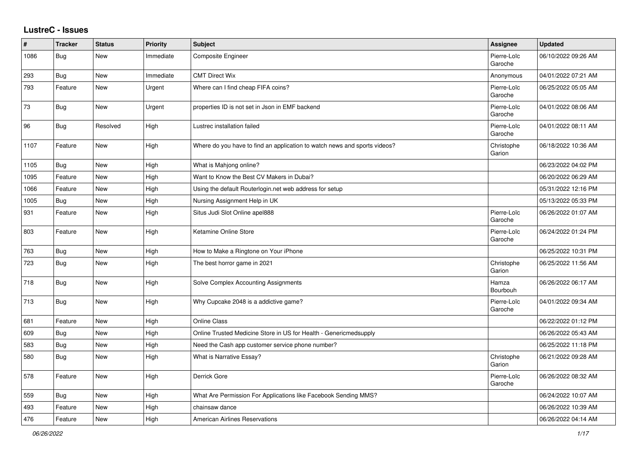## **LustreC - Issues**

| $\#$ | <b>Tracker</b> | <b>Status</b> | <b>Priority</b> | <b>Subject</b>                                                            | Assignee               | <b>Updated</b>      |
|------|----------------|---------------|-----------------|---------------------------------------------------------------------------|------------------------|---------------------|
| 1086 | Bug            | <b>New</b>    | Immediate       | Composite Engineer                                                        | Pierre-Loïc<br>Garoche | 06/10/2022 09:26 AM |
| 293  | Bug            | <b>New</b>    | Immediate       | <b>CMT Direct Wix</b>                                                     | Anonymous              | 04/01/2022 07:21 AM |
| 793  | Feature        | New           | Urgent          | Where can I find cheap FIFA coins?                                        | Pierre-Loïc<br>Garoche | 06/25/2022 05:05 AM |
| 73   | <b>Bug</b>     | New           | Urgent          | properties ID is not set in Json in EMF backend                           | Pierre-Loïc<br>Garoche | 04/01/2022 08:06 AM |
| 96   | Bug            | Resolved      | High            | Lustrec installation failed                                               | Pierre-Loïc<br>Garoche | 04/01/2022 08:11 AM |
| 1107 | Feature        | New           | High            | Where do you have to find an application to watch news and sports videos? | Christophe<br>Garion   | 06/18/2022 10:36 AM |
| 1105 | Bug            | New           | High            | What is Mahjong online?                                                   |                        | 06/23/2022 04:02 PM |
| 1095 | Feature        | New           | High            | Want to Know the Best CV Makers in Dubai?                                 |                        | 06/20/2022 06:29 AM |
| 1066 | Feature        | <b>New</b>    | High            | Using the default Routerlogin.net web address for setup                   |                        | 05/31/2022 12:16 PM |
| 1005 | Bug            | New           | High            | Nursing Assignment Help in UK                                             |                        | 05/13/2022 05:33 PM |
| 931  | Feature        | New           | High            | Situs Judi Slot Online apel888                                            | Pierre-Loïc<br>Garoche | 06/26/2022 01:07 AM |
| 803  | Feature        | New           | High            | Ketamine Online Store                                                     | Pierre-Loïc<br>Garoche | 06/24/2022 01:24 PM |
| 763  | Bug            | <b>New</b>    | High            | How to Make a Ringtone on Your iPhone                                     |                        | 06/25/2022 10:31 PM |
| 723  | Bug            | <b>New</b>    | High            | The best horror game in 2021                                              | Christophe<br>Garion   | 06/25/2022 11:56 AM |
| 718  | Bug            | <b>New</b>    | High            | Solve Complex Accounting Assignments                                      | Hamza<br>Bourbouh      | 06/26/2022 06:17 AM |
| 713  | Bug            | <b>New</b>    | High            | Why Cupcake 2048 is a addictive game?                                     | Pierre-Loïc<br>Garoche | 04/01/2022 09:34 AM |
| 681  | Feature        | <b>New</b>    | High            | <b>Online Class</b>                                                       |                        | 06/22/2022 01:12 PM |
| 609  | <b>Bug</b>     | New           | High            | Online Trusted Medicine Store in US for Health - Genericmedsupply         |                        | 06/26/2022 05:43 AM |
| 583  | <b>Bug</b>     | New           | High            | Need the Cash app customer service phone number?                          |                        | 06/25/2022 11:18 PM |
| 580  | <b>Bug</b>     | <b>New</b>    | High            | What is Narrative Essay?                                                  | Christophe<br>Garion   | 06/21/2022 09:28 AM |
| 578  | Feature        | New           | High            | Derrick Gore                                                              | Pierre-Loïc<br>Garoche | 06/26/2022 08:32 AM |
| 559  | <b>Bug</b>     | New           | High            | What Are Permission For Applications like Facebook Sending MMS?           |                        | 06/24/2022 10:07 AM |
| 493  | Feature        | <b>New</b>    | High            | chainsaw dance                                                            |                        | 06/26/2022 10:39 AM |
| 476  | Feature        | New           | High            | <b>American Airlines Reservations</b>                                     |                        | 06/26/2022 04:14 AM |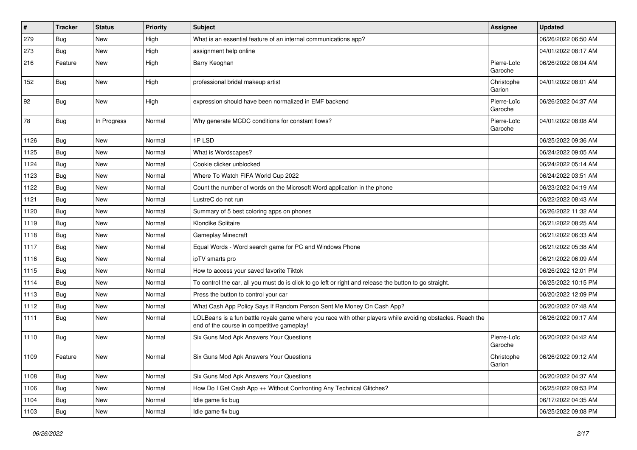| $\sharp$ | <b>Tracker</b> | <b>Status</b> | <b>Priority</b> | <b>Subject</b>                                                                                                                                           | Assignee               | <b>Updated</b>      |
|----------|----------------|---------------|-----------------|----------------------------------------------------------------------------------------------------------------------------------------------------------|------------------------|---------------------|
| 279      | Bug            | New           | High            | What is an essential feature of an internal communications app?                                                                                          |                        | 06/26/2022 06:50 AM |
| 273      | Bug            | <b>New</b>    | High            | assignment help online                                                                                                                                   |                        | 04/01/2022 08:17 AM |
| 216      | Feature        | New           | High            | Barry Keoghan                                                                                                                                            | Pierre-Loïc<br>Garoche | 06/26/2022 08:04 AM |
| 152      | Bug            | <b>New</b>    | High            | professional bridal makeup artist                                                                                                                        | Christophe<br>Garion   | 04/01/2022 08:01 AM |
| 92       | Bug            | New           | High            | expression should have been normalized in EMF backend                                                                                                    | Pierre-Loïc<br>Garoche | 06/26/2022 04:37 AM |
| 78       | Bug            | In Progress   | Normal          | Why generate MCDC conditions for constant flows?                                                                                                         | Pierre-Loïc<br>Garoche | 04/01/2022 08:08 AM |
| 1126     | Bug            | New           | Normal          | 1PLSD                                                                                                                                                    |                        | 06/25/2022 09:36 AM |
| 1125     | Bug            | <b>New</b>    | Normal          | What is Wordscapes?                                                                                                                                      |                        | 06/24/2022 09:05 AM |
| 1124     | Bug            | <b>New</b>    | Normal          | Cookie clicker unblocked                                                                                                                                 |                        | 06/24/2022 05:14 AM |
| 1123     | Bug            | New           | Normal          | Where To Watch FIFA World Cup 2022                                                                                                                       |                        | 06/24/2022 03:51 AM |
| 1122     | Bug            | New           | Normal          | Count the number of words on the Microsoft Word application in the phone                                                                                 |                        | 06/23/2022 04:19 AM |
| 1121     | Bug            | <b>New</b>    | Normal          | LustreC do not run                                                                                                                                       |                        | 06/22/2022 08:43 AM |
| 1120     | Bug            | <b>New</b>    | Normal          | Summary of 5 best coloring apps on phones                                                                                                                |                        | 06/26/2022 11:32 AM |
| 1119     | Bug            | <b>New</b>    | Normal          | Klondike Solitaire                                                                                                                                       |                        | 06/21/2022 08:25 AM |
| 1118     | Bug            | New           | Normal          | <b>Gameplay Minecraft</b>                                                                                                                                |                        | 06/21/2022 06:33 AM |
| 1117     | Bug            | <b>New</b>    | Normal          | Equal Words - Word search game for PC and Windows Phone                                                                                                  |                        | 06/21/2022 05:38 AM |
| 1116     | Bug            | <b>New</b>    | Normal          | ipTV smarts pro                                                                                                                                          |                        | 06/21/2022 06:09 AM |
| 1115     | Bug            | New           | Normal          | How to access your saved favorite Tiktok                                                                                                                 |                        | 06/26/2022 12:01 PM |
| 1114     | Bug            | <b>New</b>    | Normal          | To control the car, all you must do is click to go left or right and release the button to go straight.                                                  |                        | 06/25/2022 10:15 PM |
| 1113     | Bug            | New           | Normal          | Press the button to control your car                                                                                                                     |                        | 06/20/2022 12:09 PM |
| 1112     | Bug            | <b>New</b>    | Normal          | What Cash App Policy Says If Random Person Sent Me Money On Cash App?                                                                                    |                        | 06/20/2022 07:48 AM |
| 1111     | Bug            | <b>New</b>    | Normal          | LOLBeans is a fun battle royale game where you race with other players while avoiding obstacles. Reach the<br>end of the course in competitive gameplay! |                        | 06/26/2022 09:17 AM |
| 1110     | Bug            | New           | Normal          | Six Guns Mod Apk Answers Your Questions                                                                                                                  | Pierre-Loïc<br>Garoche | 06/20/2022 04:42 AM |
| 1109     | Feature        | New           | Normal          | Six Guns Mod Apk Answers Your Questions                                                                                                                  | Christophe<br>Garion   | 06/26/2022 09:12 AM |
| 1108     | <b>Bug</b>     | New           | Normal          | Six Guns Mod Apk Answers Your Questions                                                                                                                  |                        | 06/20/2022 04:37 AM |
| 1106     | Bug            | New           | Normal          | How Do I Get Cash App ++ Without Confronting Any Technical Glitches?                                                                                     |                        | 06/25/2022 09:53 PM |
| 1104     | <b>Bug</b>     | New           | Normal          | Idle game fix bug                                                                                                                                        |                        | 06/17/2022 04:35 AM |
| 1103     | Bug            | New           | Normal          | Idle game fix bug                                                                                                                                        |                        | 06/25/2022 09:08 PM |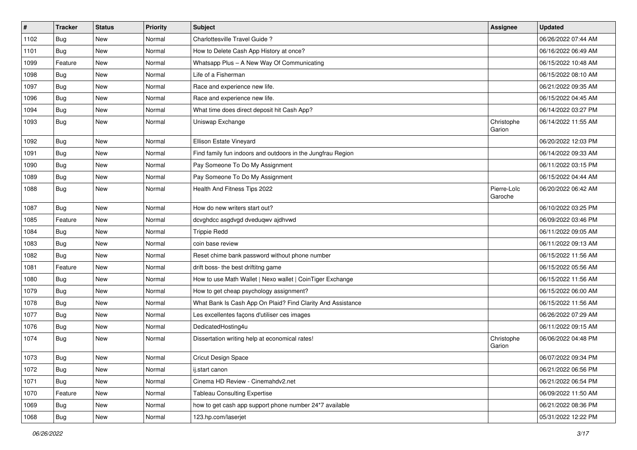| $\vert$ # | <b>Tracker</b> | <b>Status</b> | <b>Priority</b> | Subject                                                     | Assignee               | <b>Updated</b>      |
|-----------|----------------|---------------|-----------------|-------------------------------------------------------------|------------------------|---------------------|
| 1102      | Bug            | New           | Normal          | Charlottesville Travel Guide?                               |                        | 06/26/2022 07:44 AM |
| 1101      | Bug            | <b>New</b>    | Normal          | How to Delete Cash App History at once?                     |                        | 06/16/2022 06:49 AM |
| 1099      | Feature        | New           | Normal          | Whatsapp Plus - A New Way Of Communicating                  |                        | 06/15/2022 10:48 AM |
| 1098      | Bug            | <b>New</b>    | Normal          | Life of a Fisherman                                         |                        | 06/15/2022 08:10 AM |
| 1097      | Bug            | <b>New</b>    | Normal          | Race and experience new life.                               |                        | 06/21/2022 09:35 AM |
| 1096      | Bug            | <b>New</b>    | Normal          | Race and experience new life.                               |                        | 06/15/2022 04:45 AM |
| 1094      | Bug            | <b>New</b>    | Normal          | What time does direct deposit hit Cash App?                 |                        | 06/14/2022 03:27 PM |
| 1093      | Bug            | <b>New</b>    | Normal          | Uniswap Exchange                                            | Christophe<br>Garion   | 06/14/2022 11:55 AM |
| 1092      | Bug            | <b>New</b>    | Normal          | Ellison Estate Vineyard                                     |                        | 06/20/2022 12:03 PM |
| 1091      | Bug            | <b>New</b>    | Normal          | Find family fun indoors and outdoors in the Jungfrau Region |                        | 06/14/2022 09:33 AM |
| 1090      | Bug            | <b>New</b>    | Normal          | Pay Someone To Do My Assignment                             |                        | 06/11/2022 03:15 PM |
| 1089      | Bug            | <b>New</b>    | Normal          | Pay Someone To Do My Assignment                             |                        | 06/15/2022 04:44 AM |
| 1088      | Bug            | <b>New</b>    | Normal          | Health And Fitness Tips 2022                                | Pierre-Loïc<br>Garoche | 06/20/2022 06:42 AM |
| 1087      | Bug            | <b>New</b>    | Normal          | How do new writers start out?                               |                        | 06/10/2022 03:25 PM |
| 1085      | Feature        | <b>New</b>    | Normal          | dcvghdcc asgdvgd dveduqwv ajdhvwd                           |                        | 06/09/2022 03:46 PM |
| 1084      | Bug            | <b>New</b>    | Normal          | <b>Trippie Redd</b>                                         |                        | 06/11/2022 09:05 AM |
| 1083      | Bug            | <b>New</b>    | Normal          | coin base review                                            |                        | 06/11/2022 09:13 AM |
| 1082      | Bug            | <b>New</b>    | Normal          | Reset chime bank password without phone number              |                        | 06/15/2022 11:56 AM |
| 1081      | Feature        | <b>New</b>    | Normal          | drift boss- the best driftitng game                         |                        | 06/15/2022 05:56 AM |
| 1080      | Bug            | <b>New</b>    | Normal          | How to use Math Wallet   Nexo wallet   CoinTiger Exchange   |                        | 06/15/2022 11:56 AM |
| 1079      | Bug            | <b>New</b>    | Normal          | How to get cheap psychology assignment?                     |                        | 06/15/2022 06:00 AM |
| 1078      | Bug            | New           | Normal          | What Bank Is Cash App On Plaid? Find Clarity And Assistance |                        | 06/15/2022 11:56 AM |
| 1077      | Bug            | <b>New</b>    | Normal          | Les excellentes façons d'utiliser ces images                |                        | 06/26/2022 07:29 AM |
| 1076      | Bug            | <b>New</b>    | Normal          | DedicatedHosting4u                                          |                        | 06/11/2022 09:15 AM |
| 1074      | Bug            | <b>New</b>    | Normal          | Dissertation writing help at economical rates!              | Christophe<br>Garion   | 06/06/2022 04:48 PM |
| 1073      | Bug            | New           | Normal          | Cricut Design Space                                         |                        | 06/07/2022 09:34 PM |
| 1072      | Bug            | New           | Normal          | ij.start canon                                              |                        | 06/21/2022 06:56 PM |
| 1071      | Bug            | New           | Normal          | Cinema HD Review - Cinemahdv2.net                           |                        | 06/21/2022 06:54 PM |
| 1070      | Feature        | New           | Normal          | <b>Tableau Consulting Expertise</b>                         |                        | 06/09/2022 11:50 AM |
| 1069      | Bug            | New           | Normal          | how to get cash app support phone number 24*7 available     |                        | 06/21/2022 08:36 PM |
| 1068      | <b>Bug</b>     | New           | Normal          | 123.hp.com/laserjet                                         |                        | 05/31/2022 12:22 PM |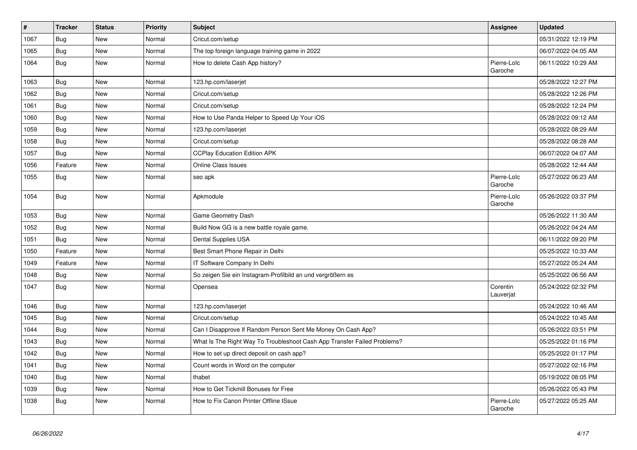| $\vert$ # | <b>Tracker</b> | <b>Status</b> | <b>Priority</b> | <b>Subject</b>                                                           | <b>Assignee</b>        | <b>Updated</b>      |
|-----------|----------------|---------------|-----------------|--------------------------------------------------------------------------|------------------------|---------------------|
| 1067      | Bug            | <b>New</b>    | Normal          | Cricut.com/setup                                                         |                        | 05/31/2022 12:19 PM |
| 1065      | Bug            | <b>New</b>    | Normal          | The top foreign language training game in 2022                           |                        | 06/07/2022 04:05 AM |
| 1064      | <b>Bug</b>     | New           | Normal          | How to delete Cash App history?                                          | Pierre-Loïc<br>Garoche | 06/11/2022 10:29 AM |
| 1063      | Bug            | <b>New</b>    | Normal          | 123.hp.com/laserjet                                                      |                        | 05/28/2022 12:27 PM |
| 1062      | Bug            | <b>New</b>    | Normal          | Cricut.com/setup                                                         |                        | 05/28/2022 12:26 PM |
| 1061      | Bug            | New           | Normal          | Cricut.com/setup                                                         |                        | 05/28/2022 12:24 PM |
| 1060      | Bug            | <b>New</b>    | Normal          | How to Use Panda Helper to Speed Up Your iOS                             |                        | 05/28/2022 09:12 AM |
| 1059      | <b>Bug</b>     | <b>New</b>    | Normal          | 123.hp.com/laserjet                                                      |                        | 05/28/2022 08:29 AM |
| 1058      | Bug            | <b>New</b>    | Normal          | Cricut.com/setup                                                         |                        | 05/28/2022 08:28 AM |
| 1057      | Bug            | <b>New</b>    | Normal          | <b>CCPlay Education Edition APK</b>                                      |                        | 06/07/2022 04:07 AM |
| 1056      | Feature        | <b>New</b>    | Normal          | <b>Online Class Issues</b>                                               |                        | 05/28/2022 12:44 AM |
| 1055      | <b>Bug</b>     | New           | Normal          | seo apk                                                                  | Pierre-Loïc<br>Garoche | 05/27/2022 06:23 AM |
| 1054      | Bug            | <b>New</b>    | Normal          | Apkmodule                                                                | Pierre-Loïc<br>Garoche | 05/26/2022 03:37 PM |
| 1053      | Bug            | <b>New</b>    | Normal          | Game Geometry Dash                                                       |                        | 05/26/2022 11:30 AM |
| 1052      | Bug            | <b>New</b>    | Normal          | Build Now GG is a new battle royale game.                                |                        | 05/26/2022 04:24 AM |
| 1051      | Bug            | <b>New</b>    | Normal          | Dental Supplies USA                                                      |                        | 06/11/2022 09:20 PM |
| 1050      | Feature        | <b>New</b>    | Normal          | Best Smart Phone Repair in Delhi                                         |                        | 05/25/2022 10:33 AM |
| 1049      | Feature        | <b>New</b>    | Normal          | IT Software Company In Delhi                                             |                        | 05/27/2022 05:24 AM |
| 1048      | Bug            | <b>New</b>    | Normal          | So zeigen Sie ein Instagram-Profilbild an und vergrößern es              |                        | 05/25/2022 06:56 AM |
| 1047      | <b>Bug</b>     | New           | Normal          | Opensea                                                                  | Corentin<br>Lauverjat  | 05/24/2022 02:32 PM |
| 1046      | Bug            | <b>New</b>    | Normal          | 123.hp.com/laserjet                                                      |                        | 05/24/2022 10:46 AM |
| 1045      | Bug            | <b>New</b>    | Normal          | Cricut.com/setup                                                         |                        | 05/24/2022 10:45 AM |
| 1044      | Bug            | <b>New</b>    | Normal          | Can I Disapprove If Random Person Sent Me Money On Cash App?             |                        | 05/26/2022 03:51 PM |
| 1043      | Bug            | <b>New</b>    | Normal          | What Is The Right Way To Troubleshoot Cash App Transfer Failed Problems? |                        | 05/25/2022 01:16 PM |
| 1042      | Bug            | <b>New</b>    | Normal          | How to set up direct deposit on cash app?                                |                        | 05/25/2022 01:17 PM |
| 1041      | <b>Bug</b>     | <b>New</b>    | Normal          | Count words in Word on the computer                                      |                        | 05/27/2022 02:16 PM |
| 1040      | Bug            | <b>New</b>    | Normal          | thabet                                                                   |                        | 05/19/2022 08:05 PM |
| 1039      | Bug            | <b>New</b>    | Normal          | How to Get Tickmill Bonuses for Free                                     |                        | 05/26/2022 05:43 PM |
| 1038      | Bug            | <b>New</b>    | Normal          | How to Fix Canon Printer Offline ISsue                                   | Pierre-Loïc<br>Garoche | 05/27/2022 05:25 AM |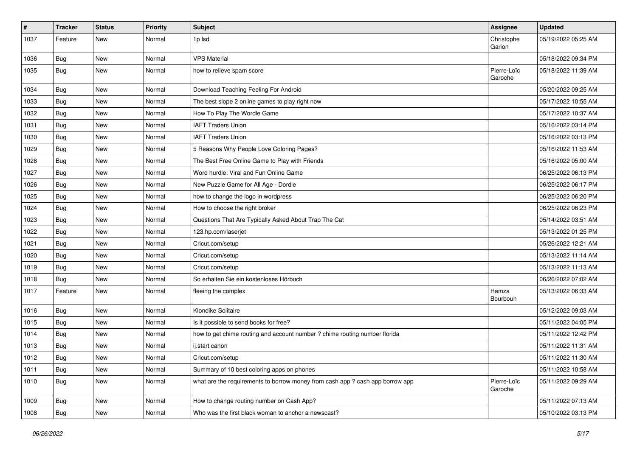| #    | <b>Tracker</b> | <b>Status</b> | <b>Priority</b> | <b>Subject</b>                                                                | Assignee               | <b>Updated</b>      |
|------|----------------|---------------|-----------------|-------------------------------------------------------------------------------|------------------------|---------------------|
| 1037 | Feature        | <b>New</b>    | Normal          | 1p lsd                                                                        | Christophe<br>Garion   | 05/19/2022 05:25 AM |
| 1036 | Bug            | <b>New</b>    | Normal          | <b>VPS Material</b>                                                           |                        | 05/18/2022 09:34 PM |
| 1035 | Bug            | <b>New</b>    | Normal          | how to relieve spam score                                                     | Pierre-Loïc<br>Garoche | 05/18/2022 11:39 AM |
| 1034 | Bug            | <b>New</b>    | Normal          | Download Teaching Feeling For Android                                         |                        | 05/20/2022 09:25 AM |
| 1033 | Bug            | <b>New</b>    | Normal          | The best slope 2 online games to play right now                               |                        | 05/17/2022 10:55 AM |
| 1032 | Bug            | <b>New</b>    | Normal          | How To Play The Wordle Game                                                   |                        | 05/17/2022 10:37 AM |
| 1031 | Bug            | <b>New</b>    | Normal          | <b>IAFT Traders Union</b>                                                     |                        | 05/16/2022 03:14 PM |
| 1030 | Bug            | <b>New</b>    | Normal          | <b>IAFT Traders Union</b>                                                     |                        | 05/16/2022 03:13 PM |
| 1029 | Bug            | <b>New</b>    | Normal          | 5 Reasons Why People Love Coloring Pages?                                     |                        | 05/16/2022 11:53 AM |
| 1028 | Bug            | <b>New</b>    | Normal          | The Best Free Online Game to Play with Friends                                |                        | 05/16/2022 05:00 AM |
| 1027 | Bug            | <b>New</b>    | Normal          | Word hurdle: Viral and Fun Online Game                                        |                        | 06/25/2022 06:13 PM |
| 1026 | Bug            | <b>New</b>    | Normal          | New Puzzle Game for All Age - Dordle                                          |                        | 06/25/2022 06:17 PM |
| 1025 | Bug            | <b>New</b>    | Normal          | how to change the logo in wordpress                                           |                        | 06/25/2022 06:20 PM |
| 1024 | Bug            | <b>New</b>    | Normal          | How to choose the right broker                                                |                        | 06/25/2022 06:23 PM |
| 1023 | <b>Bug</b>     | <b>New</b>    | Normal          | Questions That Are Typically Asked About Trap The Cat                         |                        | 05/14/2022 03:51 AM |
| 1022 | Bug            | <b>New</b>    | Normal          | 123.hp.com/laserjet                                                           |                        | 05/13/2022 01:25 PM |
| 1021 | Bug            | <b>New</b>    | Normal          | Cricut.com/setup                                                              |                        | 05/26/2022 12:21 AM |
| 1020 | Bug            | <b>New</b>    | Normal          | Cricut.com/setup                                                              |                        | 05/13/2022 11:14 AM |
| 1019 | Bug            | <b>New</b>    | Normal          | Cricut.com/setup                                                              |                        | 05/13/2022 11:13 AM |
| 1018 | <b>Bug</b>     | <b>New</b>    | Normal          | So erhalten Sie ein kostenloses Hörbuch                                       |                        | 06/26/2022 07:02 AM |
| 1017 | Feature        | <b>New</b>    | Normal          | fleeing the complex                                                           | Hamza<br>Bourbouh      | 05/13/2022 06:33 AM |
| 1016 | Bug            | <b>New</b>    | Normal          | Klondike Solitaire                                                            |                        | 05/12/2022 09:03 AM |
| 1015 | Bug            | <b>New</b>    | Normal          | Is it possible to send books for free?                                        |                        | 05/11/2022 04:05 PM |
| 1014 | Bug            | <b>New</b>    | Normal          | how to get chime routing and account number ? chime routing number florida    |                        | 05/11/2022 12:42 PM |
| 1013 | <b>Bug</b>     | <b>New</b>    | Normal          | ij.start canon                                                                |                        | 05/11/2022 11:31 AM |
| 1012 | i Bug          | New           | Normal          | Cricut.com/setup                                                              |                        | 05/11/2022 11:30 AM |
| 1011 | Bug            | New           | Normal          | Summary of 10 best coloring apps on phones                                    |                        | 05/11/2022 10:58 AM |
| 1010 | Bug            | New           | Normal          | what are the requirements to borrow money from cash app ? cash app borrow app | Pierre-Loïc<br>Garoche | 05/11/2022 09:29 AM |
| 1009 | Bug            | New           | Normal          | How to change routing number on Cash App?                                     |                        | 05/11/2022 07:13 AM |
| 1008 | <b>Bug</b>     | New           | Normal          | Who was the first black woman to anchor a newscast?                           |                        | 05/10/2022 03:13 PM |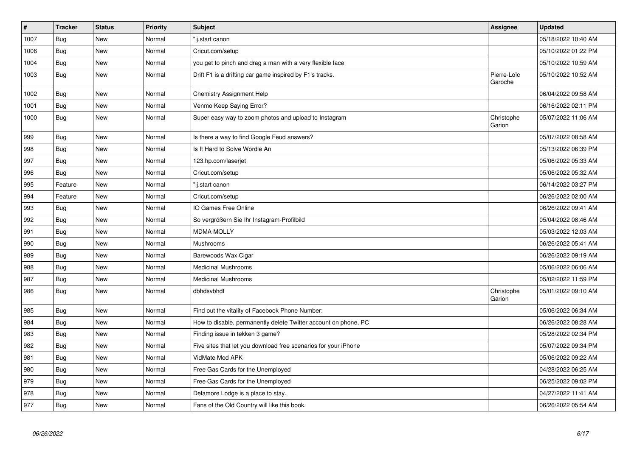| $\sharp$ | <b>Tracker</b> | <b>Status</b> | <b>Priority</b> | <b>Subject</b>                                                  | Assignee               | <b>Updated</b>      |
|----------|----------------|---------------|-----------------|-----------------------------------------------------------------|------------------------|---------------------|
| 1007     | <b>Bug</b>     | <b>New</b>    | Normal          | "ij.start canon                                                 |                        | 05/18/2022 10:40 AM |
| 1006     | <b>Bug</b>     | <b>New</b>    | Normal          | Cricut.com/setup                                                |                        | 05/10/2022 01:22 PM |
| 1004     | Bug            | New           | Normal          | you get to pinch and drag a man with a very flexible face       |                        | 05/10/2022 10:59 AM |
| 1003     | Bug            | <b>New</b>    | Normal          | Drift F1 is a drifting car game inspired by F1's tracks.        | Pierre-Loïc<br>Garoche | 05/10/2022 10:52 AM |
| 1002     | Bug            | <b>New</b>    | Normal          | Chemistry Assignment Help                                       |                        | 06/04/2022 09:58 AM |
| 1001     | Bug            | New           | Normal          | Venmo Keep Saying Error?                                        |                        | 06/16/2022 02:11 PM |
| 1000     | Bug            | <b>New</b>    | Normal          | Super easy way to zoom photos and upload to Instagram           | Christophe<br>Garion   | 05/07/2022 11:06 AM |
| 999      | Bug            | <b>New</b>    | Normal          | Is there a way to find Google Feud answers?                     |                        | 05/07/2022 08:58 AM |
| 998      | Bug            | New           | Normal          | Is It Hard to Solve Wordle An                                   |                        | 05/13/2022 06:39 PM |
| 997      | Bug            | <b>New</b>    | Normal          | 123.hp.com/laserjet                                             |                        | 05/06/2022 05:33 AM |
| 996      | Bug            | New           | Normal          | Cricut.com/setup                                                |                        | 05/06/2022 05:32 AM |
| 995      | Feature        | New           | Normal          | "ij.start canon                                                 |                        | 06/14/2022 03:27 PM |
| 994      | Feature        | <b>New</b>    | Normal          | Cricut.com/setup                                                |                        | 06/26/2022 02:00 AM |
| 993      | Bug            | <b>New</b>    | Normal          | IO Games Free Online                                            |                        | 06/26/2022 09:41 AM |
| 992      | Bug            | New           | Normal          | So vergrößern Sie Ihr Instagram-Profilbild                      |                        | 05/04/2022 08:46 AM |
| 991      | Bug            | <b>New</b>    | Normal          | <b>MDMA MOLLY</b>                                               |                        | 05/03/2022 12:03 AM |
| 990      | <b>Bug</b>     | <b>New</b>    | Normal          | Mushrooms                                                       |                        | 06/26/2022 05:41 AM |
| 989      | Bug            | New           | Normal          | Barewoods Wax Cigar                                             |                        | 06/26/2022 09:19 AM |
| 988      | <b>Bug</b>     | <b>New</b>    | Normal          | <b>Medicinal Mushrooms</b>                                      |                        | 05/06/2022 06:06 AM |
| 987      | Bug            | New           | Normal          | <b>Medicinal Mushrooms</b>                                      |                        | 05/02/2022 11:59 PM |
| 986      | Bug            | <b>New</b>    | Normal          | dbhdsvbhdf                                                      | Christophe<br>Garion   | 05/01/2022 09:10 AM |
| 985      | <b>Bug</b>     | <b>New</b>    | Normal          | Find out the vitality of Facebook Phone Number:                 |                        | 05/06/2022 06:34 AM |
| 984      | Bug            | New           | Normal          | How to disable, permanently delete Twitter account on phone, PC |                        | 06/26/2022 08:28 AM |
| 983      | <b>Bug</b>     | <b>New</b>    | Normal          | Finding issue in tekken 3 game?                                 |                        | 05/28/2022 02:34 PM |
| 982      | Bug            | <b>New</b>    | Normal          | Five sites that let you download free scenarios for your iPhone |                        | 05/07/2022 09:34 PM |
| 981      | Bug            | New           | Normal          | VidMate Mod APK                                                 |                        | 05/06/2022 09:22 AM |
| 980      | Bug            | <b>New</b>    | Normal          | Free Gas Cards for the Unemployed                               |                        | 04/28/2022 06:25 AM |
| 979      | Bug            | New           | Normal          | Free Gas Cards for the Unemployed                               |                        | 06/25/2022 09:02 PM |
| 978      | Bug            | <b>New</b>    | Normal          | Delamore Lodge is a place to stay.                              |                        | 04/27/2022 11:41 AM |
| 977      | <b>Bug</b>     | <b>New</b>    | Normal          | Fans of the Old Country will like this book.                    |                        | 06/26/2022 05:54 AM |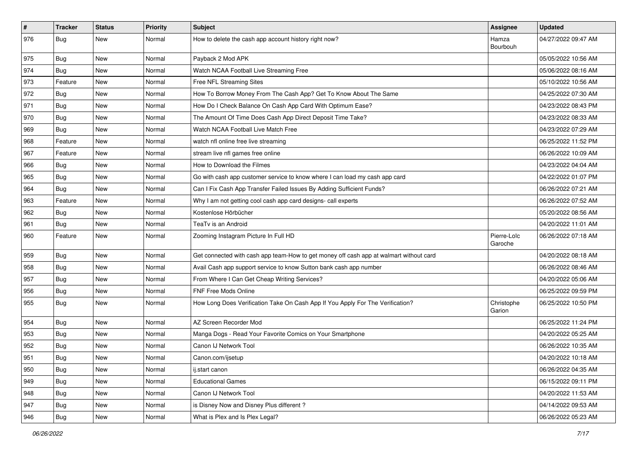| $\pmb{\#}$ | <b>Tracker</b>   | <b>Status</b> | <b>Priority</b> | Subject                                                                                | Assignee               | <b>Updated</b>      |
|------------|------------------|---------------|-----------------|----------------------------------------------------------------------------------------|------------------------|---------------------|
| 976        | Bug              | New           | Normal          | How to delete the cash app account history right now?                                  | Hamza<br>Bourbouh      | 04/27/2022 09:47 AM |
| 975        | Bug              | New           | Normal          | Payback 2 Mod APK                                                                      |                        | 05/05/2022 10:56 AM |
| 974        | Bug              | New           | Normal          | Watch NCAA Football Live Streaming Free                                                |                        | 05/06/2022 08:16 AM |
| 973        | Feature          | <b>New</b>    | Normal          | Free NFL Streaming Sites                                                               |                        | 05/10/2022 10:56 AM |
| 972        | <b>Bug</b>       | New           | Normal          | How To Borrow Money From The Cash App? Get To Know About The Same                      |                        | 04/25/2022 07:30 AM |
| 971        | Bug              | New           | Normal          | How Do I Check Balance On Cash App Card With Optimum Ease?                             |                        | 04/23/2022 08:43 PM |
| 970        | Bug              | New           | Normal          | The Amount Of Time Does Cash App Direct Deposit Time Take?                             |                        | 04/23/2022 08:33 AM |
| 969        | Bug              | New           | Normal          | Watch NCAA Football Live Match Free                                                    |                        | 04/23/2022 07:29 AM |
| 968        | Feature          | <b>New</b>    | Normal          | watch nfl online free live streaming                                                   |                        | 06/25/2022 11:52 PM |
| 967        | Feature          | New           | Normal          | stream live nfl games free online                                                      |                        | 06/26/2022 10:09 AM |
| 966        | Bug              | New           | Normal          | How to Download the Filmes                                                             |                        | 04/23/2022 04:04 AM |
| 965        | Bug              | New           | Normal          | Go with cash app customer service to know where I can load my cash app card            |                        | 04/22/2022 01:07 PM |
| 964        | Bug              | New           | Normal          | Can I Fix Cash App Transfer Failed Issues By Adding Sufficient Funds?                  |                        | 06/26/2022 07:21 AM |
| 963        | Feature          | New           | Normal          | Why I am not getting cool cash app card designs- call experts                          |                        | 06/26/2022 07:52 AM |
| 962        | <b>Bug</b>       | New           | Normal          | Kostenlose Hörbücher                                                                   |                        | 05/20/2022 08:56 AM |
| 961        | Bug              | New           | Normal          | TeaTv is an Android                                                                    |                        | 04/20/2022 11:01 AM |
| 960        | Feature          | <b>New</b>    | Normal          | Zooming Instagram Picture In Full HD                                                   | Pierre-Loïc<br>Garoche | 06/26/2022 07:18 AM |
| 959        | Bug              | New           | Normal          | Get connected with cash app team-How to get money off cash app at walmart without card |                        | 04/20/2022 08:18 AM |
| 958        | Bug              | New           | Normal          | Avail Cash app support service to know Sutton bank cash app number                     |                        | 06/26/2022 08:46 AM |
| 957        | Bug              | New           | Normal          | From Where I Can Get Cheap Writing Services?                                           |                        | 04/20/2022 05:06 AM |
| 956        | Bug              | <b>New</b>    | Normal          | FNF Free Mods Online                                                                   |                        | 06/25/2022 09:59 PM |
| 955        | <b>Bug</b>       | New           | Normal          | How Long Does Verification Take On Cash App If You Apply For The Verification?         | Christophe<br>Garion   | 06/25/2022 10:50 PM |
| 954        | Bug              | <b>New</b>    | Normal          | AZ Screen Recorder Mod                                                                 |                        | 06/25/2022 11:24 PM |
| 953        | Bug              | New           | Normal          | Manga Dogs - Read Your Favorite Comics on Your Smartphone                              |                        | 04/20/2022 05:25 AM |
| 952        | Bug              | New           | Normal          | Canon IJ Network Tool                                                                  |                        | 06/26/2022 10:35 AM |
| 951        | <sub>I</sub> Bug | New           | Normal          | Canon.com/ijsetup                                                                      |                        | 04/20/2022 10:18 AM |
| 950        | Bug              | New           | Normal          | ij.start canon                                                                         |                        | 06/26/2022 04:35 AM |
| 949        | Bug              | New           | Normal          | <b>Educational Games</b>                                                               |                        | 06/15/2022 09:11 PM |
| 948        | <b>Bug</b>       | New           | Normal          | Canon IJ Network Tool                                                                  |                        | 04/20/2022 11:53 AM |
| 947        | <b>Bug</b>       | New           | Normal          | is Disney Now and Disney Plus different?                                               |                        | 04/14/2022 09:53 AM |
| 946        | Bug              | New           | Normal          | What is Plex and Is Plex Legal?                                                        |                        | 06/26/2022 05:23 AM |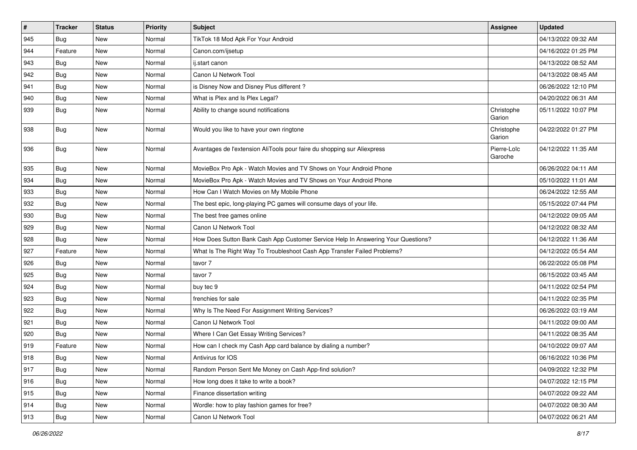| $\vert$ # | <b>Tracker</b> | <b>Status</b> | <b>Priority</b> | Subject                                                                          | Assignee               | <b>Updated</b>      |
|-----------|----------------|---------------|-----------------|----------------------------------------------------------------------------------|------------------------|---------------------|
| 945       | Bug            | <b>New</b>    | Normal          | TikTok 18 Mod Apk For Your Android                                               |                        | 04/13/2022 09:32 AM |
| 944       | Feature        | <b>New</b>    | Normal          | Canon.com/ijsetup                                                                |                        | 04/16/2022 01:25 PM |
| 943       | Bug            | <b>New</b>    | Normal          | ij.start canon                                                                   |                        | 04/13/2022 08:52 AM |
| 942       | Bug            | <b>New</b>    | Normal          | Canon IJ Network Tool                                                            |                        | 04/13/2022 08:45 AM |
| 941       | Bug            | <b>New</b>    | Normal          | is Disney Now and Disney Plus different?                                         |                        | 06/26/2022 12:10 PM |
| 940       | Bug            | <b>New</b>    | Normal          | What is Plex and Is Plex Legal?                                                  |                        | 04/20/2022 06:31 AM |
| 939       | <b>Bug</b>     | <b>New</b>    | Normal          | Ability to change sound notifications                                            | Christophe<br>Garion   | 05/11/2022 10:07 PM |
| 938       | Bug            | <b>New</b>    | Normal          | Would you like to have your own ringtone                                         | Christophe<br>Garion   | 04/22/2022 01:27 PM |
| 936       | Bug            | <b>New</b>    | Normal          | Avantages de l'extension AliTools pour faire du shopping sur Aliexpress          | Pierre-Loïc<br>Garoche | 04/12/2022 11:35 AM |
| 935       | Bug            | <b>New</b>    | Normal          | MovieBox Pro Apk - Watch Movies and TV Shows on Your Android Phone               |                        | 06/26/2022 04:11 AM |
| 934       | Bug            | <b>New</b>    | Normal          | MovieBox Pro Apk - Watch Movies and TV Shows on Your Android Phone               |                        | 05/10/2022 11:01 AM |
| 933       | Bug            | <b>New</b>    | Normal          | How Can I Watch Movies on My Mobile Phone                                        |                        | 06/24/2022 12:55 AM |
| 932       | Bug            | <b>New</b>    | Normal          | The best epic, long-playing PC games will consume days of your life.             |                        | 05/15/2022 07:44 PM |
| 930       | Bug            | <b>New</b>    | Normal          | The best free games online                                                       |                        | 04/12/2022 09:05 AM |
| 929       | Bug            | <b>New</b>    | Normal          | Canon IJ Network Tool                                                            |                        | 04/12/2022 08:32 AM |
| 928       | Bug            | <b>New</b>    | Normal          | How Does Sutton Bank Cash App Customer Service Help In Answering Your Questions? |                        | 04/12/2022 11:36 AM |
| 927       | Feature        | <b>New</b>    | Normal          | What Is The Right Way To Troubleshoot Cash App Transfer Failed Problems?         |                        | 04/12/2022 05:54 AM |
| 926       | Bug            | <b>New</b>    | Normal          | tavor 7                                                                          |                        | 06/22/2022 05:08 PM |
| 925       | <b>Bug</b>     | <b>New</b>    | Normal          | tavor 7                                                                          |                        | 06/15/2022 03:45 AM |
| 924       | Bug            | <b>New</b>    | Normal          | buy tec 9                                                                        |                        | 04/11/2022 02:54 PM |
| 923       | Bug            | <b>New</b>    | Normal          | frenchies for sale                                                               |                        | 04/11/2022 02:35 PM |
| 922       | <b>Bug</b>     | <b>New</b>    | Normal          | Why Is The Need For Assignment Writing Services?                                 |                        | 06/26/2022 03:19 AM |
| 921       | Bug            | <b>New</b>    | Normal          | Canon IJ Network Tool                                                            |                        | 04/11/2022 09:00 AM |
| 920       | Bug            | <b>New</b>    | Normal          | Where I Can Get Essay Writing Services?                                          |                        | 04/11/2022 08:35 AM |
| 919       | Feature        | <b>New</b>    | Normal          | How can I check my Cash App card balance by dialing a number?                    |                        | 04/10/2022 09:07 AM |
| 918       | Bug            | New           | Normal          | Antivirus for IOS                                                                |                        | 06/16/2022 10:36 PM |
| 917       | Bug            | New           | Normal          | Random Person Sent Me Money on Cash App-find solution?                           |                        | 04/09/2022 12:32 PM |
| 916       | Bug            | New           | Normal          | How long does it take to write a book?                                           |                        | 04/07/2022 12:15 PM |
| 915       | <b>Bug</b>     | New           | Normal          | Finance dissertation writing                                                     |                        | 04/07/2022 09:22 AM |
| 914       | Bug            | New           | Normal          | Wordle: how to play fashion games for free?                                      |                        | 04/07/2022 08:30 AM |
| 913       | <b>Bug</b>     | New           | Normal          | Canon IJ Network Tool                                                            |                        | 04/07/2022 06:21 AM |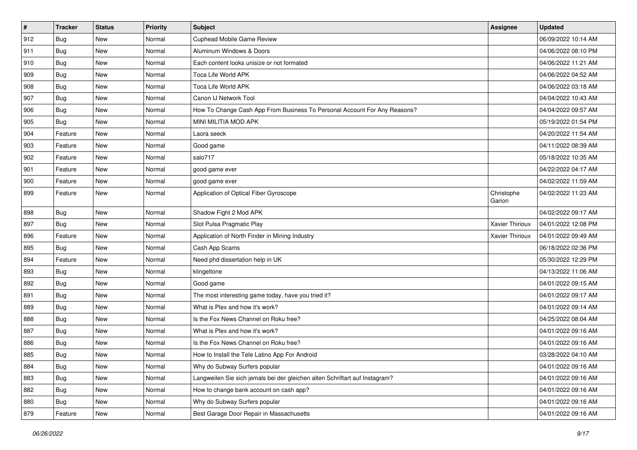| $\sharp$ | <b>Tracker</b> | <b>Status</b> | <b>Priority</b> | Subject                                                                     | Assignee               | <b>Updated</b>      |
|----------|----------------|---------------|-----------------|-----------------------------------------------------------------------------|------------------------|---------------------|
| 912      | Bug            | <b>New</b>    | Normal          | Cuphead Mobile Game Review                                                  |                        | 06/09/2022 10:14 AM |
| 911      | Bug            | <b>New</b>    | Normal          | Aluminum Windows & Doors                                                    |                        | 04/06/2022 08:10 PM |
| 910      | Bug            | New           | Normal          | Each content looks unisize or not formated                                  |                        | 04/06/2022 11:21 AM |
| 909      | Bug            | New           | Normal          | Toca Life World APK                                                         |                        | 04/06/2022 04:52 AM |
| 908      | Bug            | <b>New</b>    | Normal          | Toca Life World APK                                                         |                        | 04/06/2022 03:18 AM |
| 907      | Bug            | New           | Normal          | Canon IJ Network Tool                                                       |                        | 04/04/2022 10:43 AM |
| 906      | Bug            | <b>New</b>    | Normal          | How To Change Cash App From Business To Personal Account For Any Reasons?   |                        | 04/04/2022 09:57 AM |
| 905      | Bug            | New           | Normal          | MINI MILITIA MOD APK                                                        |                        | 05/19/2022 01:54 PM |
| 904      | Feature        | <b>New</b>    | Normal          | Laora seeck                                                                 |                        | 04/20/2022 11:54 AM |
| 903      | Feature        | <b>New</b>    | Normal          | Good game                                                                   |                        | 04/11/2022 08:39 AM |
| 902      | Feature        | <b>New</b>    | Normal          | salo717                                                                     |                        | 05/18/2022 10:35 AM |
| 901      | Feature        | New           | Normal          | good game ever                                                              |                        | 04/22/2022 04:17 AM |
| 900      | Feature        | <b>New</b>    | Normal          | good game ever                                                              |                        | 04/02/2022 11:59 AM |
| 899      | Feature        | New           | Normal          | Application of Optical Fiber Gyroscope                                      | Christophe<br>Garion   | 04/02/2022 11:23 AM |
| 898      | Bug            | <b>New</b>    | Normal          | Shadow Fight 2 Mod APK                                                      |                        | 04/02/2022 09:17 AM |
| 897      | Bug            | <b>New</b>    | Normal          | Slot Pulsa Pragmatic Play                                                   | Xavier Thirioux        | 04/01/2022 12:08 PM |
| 896      | Feature        | <b>New</b>    | Normal          | Application of North Finder in Mining Industry                              | <b>Xavier Thirioux</b> | 04/01/2022 09:49 AM |
| 895      | Bug            | <b>New</b>    | Normal          | Cash App Scams                                                              |                        | 06/18/2022 02:36 PM |
| 894      | Feature        | <b>New</b>    | Normal          | Need phd dissertation help in UK                                            |                        | 05/30/2022 12:29 PM |
| 893      | Bug            | New           | Normal          | klingeltone                                                                 |                        | 04/13/2022 11:06 AM |
| 892      | Bug            | <b>New</b>    | Normal          | Good game                                                                   |                        | 04/01/2022 09:15 AM |
| 891      | Bug            | <b>New</b>    | Normal          | The most interesting game today, have you tried it?                         |                        | 04/01/2022 09:17 AM |
| 889      | Bug            | New           | Normal          | What is Plex and how it's work?                                             |                        | 04/01/2022 09:14 AM |
| 888      | Bug            | New           | Normal          | Is the Fox News Channel on Roku free?                                       |                        | 04/25/2022 08:04 AM |
| 887      | Bug            | New           | Normal          | What is Plex and how it's work?                                             |                        | 04/01/2022 09:16 AM |
| 886      | Bug            | New           | Normal          | Is the Fox News Channel on Roku free?                                       |                        | 04/01/2022 09:16 AM |
| 885      | <b>Bug</b>     | New           | Normal          | How to Install the Tele Latino App For Android                              |                        | 03/28/2022 04:10 AM |
| 884      | Bug            | New           | Normal          | Why do Subway Surfers popular                                               |                        | 04/01/2022 09:16 AM |
| 883      | Bug            | New           | Normal          | Langweilen Sie sich jemals bei der gleichen alten Schriftart auf Instagram? |                        | 04/01/2022 09:16 AM |
| 882      | Bug            | New           | Normal          | How to change bank account on cash app?                                     |                        | 04/01/2022 09:16 AM |
| 880      | Bug            | New           | Normal          | Why do Subway Surfers popular                                               |                        | 04/01/2022 09:16 AM |
| 879      | Feature        | New           | Normal          | Best Garage Door Repair in Massachusetts                                    |                        | 04/01/2022 09:16 AM |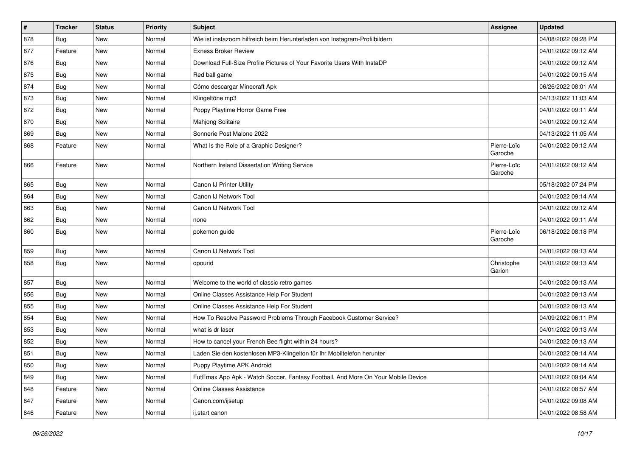| $\pmb{\#}$ | <b>Tracker</b> | <b>Status</b> | <b>Priority</b> | <b>Subject</b>                                                                   | Assignee               | <b>Updated</b>      |
|------------|----------------|---------------|-----------------|----------------------------------------------------------------------------------|------------------------|---------------------|
| 878        | Bug            | <b>New</b>    | Normal          | Wie ist instazoom hilfreich beim Herunterladen von Instagram-Profilbildern       |                        | 04/08/2022 09:28 PM |
| 877        | Feature        | <b>New</b>    | Normal          | <b>Exness Broker Review</b>                                                      |                        | 04/01/2022 09:12 AM |
| 876        | Bug            | New           | Normal          | Download Full-Size Profile Pictures of Your Favorite Users With InstaDP          |                        | 04/01/2022 09:12 AM |
| 875        | <b>Bug</b>     | <b>New</b>    | Normal          | Red ball game                                                                    |                        | 04/01/2022 09:15 AM |
| 874        | Bug            | New           | Normal          | Cómo descargar Minecraft Apk                                                     |                        | 06/26/2022 08:01 AM |
| 873        | <b>Bug</b>     | <b>New</b>    | Normal          | Klingeltöne mp3                                                                  |                        | 04/13/2022 11:03 AM |
| 872        | <b>Bug</b>     | <b>New</b>    | Normal          | Poppy Playtime Horror Game Free                                                  |                        | 04/01/2022 09:11 AM |
| 870        | Bug            | New           | Normal          | Mahjong Solitaire                                                                |                        | 04/01/2022 09:12 AM |
| 869        | <b>Bug</b>     | <b>New</b>    | Normal          | Sonnerie Post Malone 2022                                                        |                        | 04/13/2022 11:05 AM |
| 868        | Feature        | New           | Normal          | What Is the Role of a Graphic Designer?                                          | Pierre-Loïc<br>Garoche | 04/01/2022 09:12 AM |
| 866        | Feature        | <b>New</b>    | Normal          | Northern Ireland Dissertation Writing Service                                    | Pierre-Loïc<br>Garoche | 04/01/2022 09:12 AM |
| 865        | Bug            | <b>New</b>    | Normal          | Canon IJ Printer Utility                                                         |                        | 05/18/2022 07:24 PM |
| 864        | <b>Bug</b>     | <b>New</b>    | Normal          | Canon IJ Network Tool                                                            |                        | 04/01/2022 09:14 AM |
| 863        | <b>Bug</b>     | New           | Normal          | Canon IJ Network Tool                                                            |                        | 04/01/2022 09:12 AM |
| 862        | <b>Bug</b>     | <b>New</b>    | Normal          | none                                                                             |                        | 04/01/2022 09:11 AM |
| 860        | Bug            | <b>New</b>    | Normal          | pokemon guide                                                                    | Pierre-Loïc<br>Garoche | 06/18/2022 08:18 PM |
| 859        | Bug            | <b>New</b>    | Normal          | Canon IJ Network Tool                                                            |                        | 04/01/2022 09:13 AM |
| 858        | Bug            | New           | Normal          | opourid                                                                          | Christophe<br>Garion   | 04/01/2022 09:13 AM |
| 857        | Bug            | New           | Normal          | Welcome to the world of classic retro games                                      |                        | 04/01/2022 09:13 AM |
| 856        | Bug            | <b>New</b>    | Normal          | Online Classes Assistance Help For Student                                       |                        | 04/01/2022 09:13 AM |
| 855        | Bug            | <b>New</b>    | Normal          | Online Classes Assistance Help For Student                                       |                        | 04/01/2022 09:13 AM |
| 854        | Bug            | New           | Normal          | How To Resolve Password Problems Through Facebook Customer Service?              |                        | 04/09/2022 06:11 PM |
| 853        | Bug            | <b>New</b>    | Normal          | what is dr laser                                                                 |                        | 04/01/2022 09:13 AM |
| 852        | <b>Bug</b>     | <b>New</b>    | Normal          | How to cancel your French Bee flight within 24 hours?                            |                        | 04/01/2022 09:13 AM |
| 851        | <b>Bug</b>     | <b>New</b>    | Normal          | Laden Sie den kostenlosen MP3-Klingelton für Ihr Mobiltelefon herunter           |                        | 04/01/2022 09:14 AM |
| 850        | Bug            | New           | Normal          | Puppy Playtime APK Android                                                       |                        | 04/01/2022 09:14 AM |
| 849        | Bug            | New           | Normal          | FutEmax App Apk - Watch Soccer, Fantasy Football, And More On Your Mobile Device |                        | 04/01/2022 09:04 AM |
| 848        | Feature        | New           | Normal          | <b>Online Classes Assistance</b>                                                 |                        | 04/01/2022 08:57 AM |
| 847        | Feature        | New           | Normal          | Canon.com/ijsetup                                                                |                        | 04/01/2022 09:08 AM |
| 846        | Feature        | New           | Normal          | ij.start canon                                                                   |                        | 04/01/2022 08:58 AM |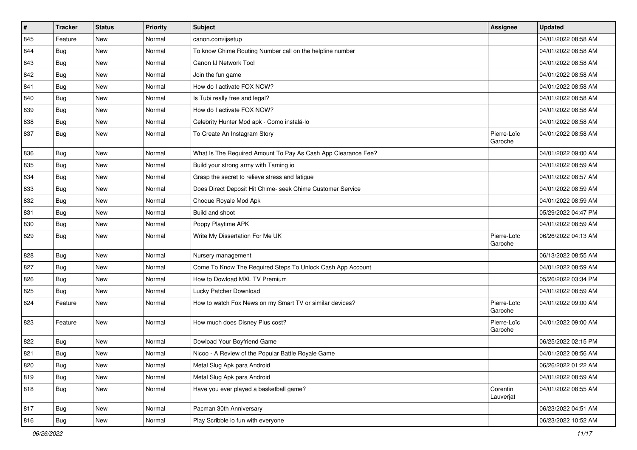| $\vert$ # | <b>Tracker</b> | <b>Status</b> | <b>Priority</b> | <b>Subject</b>                                                | Assignee               | <b>Updated</b>      |
|-----------|----------------|---------------|-----------------|---------------------------------------------------------------|------------------------|---------------------|
| 845       | Feature        | <b>New</b>    | Normal          | canon.com/ijsetup                                             |                        | 04/01/2022 08:58 AM |
| 844       | Bug            | <b>New</b>    | Normal          | To know Chime Routing Number call on the helpline number      |                        | 04/01/2022 08:58 AM |
| 843       | Bug            | <b>New</b>    | Normal          | Canon IJ Network Tool                                         |                        | 04/01/2022 08:58 AM |
| 842       | Bug            | <b>New</b>    | Normal          | Join the fun game                                             |                        | 04/01/2022 08:58 AM |
| 841       | Bug            | <b>New</b>    | Normal          | How do I activate FOX NOW?                                    |                        | 04/01/2022 08:58 AM |
| 840       | Bug            | <b>New</b>    | Normal          | Is Tubi really free and legal?                                |                        | 04/01/2022 08:58 AM |
| 839       | Bug            | <b>New</b>    | Normal          | How do I activate FOX NOW?                                    |                        | 04/01/2022 08:58 AM |
| 838       | Bug            | <b>New</b>    | Normal          | Celebrity Hunter Mod apk - Como instalá-lo                    |                        | 04/01/2022 08:58 AM |
| 837       | Bug            | <b>New</b>    | Normal          | To Create An Instagram Story                                  | Pierre-Loïc<br>Garoche | 04/01/2022 08:58 AM |
| 836       | Bug            | <b>New</b>    | Normal          | What Is The Required Amount To Pay As Cash App Clearance Fee? |                        | 04/01/2022 09:00 AM |
| 835       | Bug            | <b>New</b>    | Normal          | Build your strong army with Taming io                         |                        | 04/01/2022 08:59 AM |
| 834       | Bug            | <b>New</b>    | Normal          | Grasp the secret to relieve stress and fatigue                |                        | 04/01/2022 08:57 AM |
| 833       | Bug            | <b>New</b>    | Normal          | Does Direct Deposit Hit Chime- seek Chime Customer Service    |                        | 04/01/2022 08:59 AM |
| 832       | Bug            | <b>New</b>    | Normal          | Choque Royale Mod Apk                                         |                        | 04/01/2022 08:59 AM |
| 831       | Bug            | <b>New</b>    | Normal          | Build and shoot                                               |                        | 05/29/2022 04:47 PM |
| 830       | Bug            | <b>New</b>    | Normal          | Poppy Playtime APK                                            |                        | 04/01/2022 08:59 AM |
| 829       | Bug            | <b>New</b>    | Normal          | Write My Dissertation For Me UK                               | Pierre-Loïc<br>Garoche | 06/26/2022 04:13 AM |
| 828       | Bug            | <b>New</b>    | Normal          | Nursery management                                            |                        | 06/13/2022 08:55 AM |
| 827       | Bug            | <b>New</b>    | Normal          | Come To Know The Required Steps To Unlock Cash App Account    |                        | 04/01/2022 08:59 AM |
| 826       | Bug            | <b>New</b>    | Normal          | How to Dowload MXL TV Premium                                 |                        | 05/26/2022 03:34 PM |
| 825       | Bug            | <b>New</b>    | Normal          | Lucky Patcher Download                                        |                        | 04/01/2022 08:59 AM |
| 824       | Feature        | <b>New</b>    | Normal          | How to watch Fox News on my Smart TV or similar devices?      | Pierre-Loïc<br>Garoche | 04/01/2022 09:00 AM |
| 823       | Feature        | New           | Normal          | How much does Disney Plus cost?                               | Pierre-Loïc<br>Garoche | 04/01/2022 09:00 AM |
| 822       | Bug            | <b>New</b>    | Normal          | Dowload Your Boyfriend Game                                   |                        | 06/25/2022 02:15 PM |
| 821       | Bug            | <b>New</b>    | Normal          | Nicoo - A Review of the Popular Battle Royale Game            |                        | 04/01/2022 08:56 AM |
| 820       | Bug            | New           | Normal          | Metal Slug Apk para Android                                   |                        | 06/26/2022 01:22 AM |
| 819       | Bug            | <b>New</b>    | Normal          | Metal Slug Apk para Android                                   |                        | 04/01/2022 08:59 AM |
| 818       | <b>Bug</b>     | New           | Normal          | Have you ever played a basketball game?                       | Corentin<br>Lauverjat  | 04/01/2022 08:55 AM |
| 817       | Bug            | New           | Normal          | Pacman 30th Anniversary                                       |                        | 06/23/2022 04:51 AM |
| 816       | <b>Bug</b>     | New           | Normal          | Play Scribble io fun with everyone                            |                        | 06/23/2022 10:52 AM |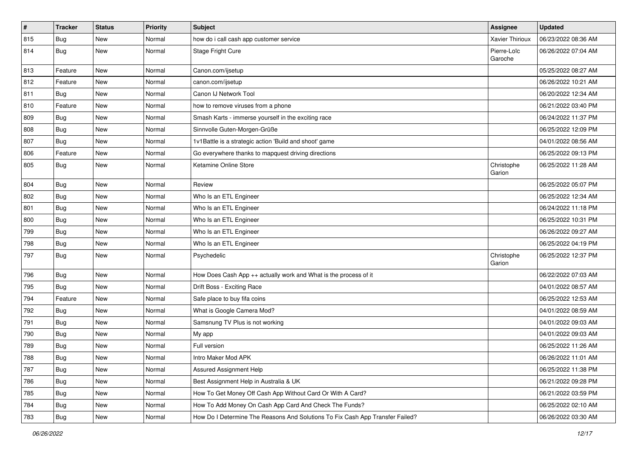| $\vert$ # | <b>Tracker</b> | <b>Status</b> | <b>Priority</b> | Subject                                                                       | Assignee               | <b>Updated</b>      |
|-----------|----------------|---------------|-----------------|-------------------------------------------------------------------------------|------------------------|---------------------|
| 815       | Bug            | <b>New</b>    | Normal          | how do i call cash app customer service                                       | <b>Xavier Thirioux</b> | 06/23/2022 08:36 AM |
| 814       | Bug            | New           | Normal          | Stage Fright Cure                                                             | Pierre-Loïc<br>Garoche | 06/26/2022 07:04 AM |
| 813       | Feature        | <b>New</b>    | Normal          | Canon.com/ijsetup                                                             |                        | 05/25/2022 08:27 AM |
| 812       | Feature        | <b>New</b>    | Normal          | canon.com/ijsetup                                                             |                        | 06/26/2022 10:21 AM |
| 811       | Bug            | <b>New</b>    | Normal          | Canon IJ Network Tool                                                         |                        | 06/20/2022 12:34 AM |
| 810       | Feature        | <b>New</b>    | Normal          | how to remove viruses from a phone                                            |                        | 06/21/2022 03:40 PM |
| 809       | Bug            | <b>New</b>    | Normal          | Smash Karts - immerse yourself in the exciting race                           |                        | 06/24/2022 11:37 PM |
| 808       | Bug            | <b>New</b>    | Normal          | Sinnvolle Guten-Morgen-Grüße                                                  |                        | 06/25/2022 12:09 PM |
| 807       | Bug            | <b>New</b>    | Normal          | 1v1Battle is a strategic action 'Build and shoot' game                        |                        | 04/01/2022 08:56 AM |
| 806       | Feature        | <b>New</b>    | Normal          | Go everywhere thanks to mapquest driving directions                           |                        | 06/25/2022 09:13 PM |
| 805       | Bug            | <b>New</b>    | Normal          | Ketamine Online Store                                                         | Christophe<br>Garion   | 06/25/2022 11:28 AM |
| 804       | Bug            | <b>New</b>    | Normal          | Review                                                                        |                        | 06/25/2022 05:07 PM |
| 802       | Bug            | <b>New</b>    | Normal          | Who Is an ETL Engineer                                                        |                        | 06/25/2022 12:34 AM |
| 801       | Bug            | <b>New</b>    | Normal          | Who Is an ETL Engineer                                                        |                        | 06/24/2022 11:18 PM |
| 800       | Bug            | <b>New</b>    | Normal          | Who Is an ETL Engineer                                                        |                        | 06/25/2022 10:31 PM |
| 799       | Bug            | <b>New</b>    | Normal          | Who Is an ETL Engineer                                                        |                        | 06/26/2022 09:27 AM |
| 798       | Bug            | <b>New</b>    | Normal          | Who Is an ETL Engineer                                                        |                        | 06/25/2022 04:19 PM |
| 797       | Bug            | <b>New</b>    | Normal          | Psychedelic                                                                   | Christophe<br>Garion   | 06/25/2022 12:37 PM |
| 796       | Bug            | <b>New</b>    | Normal          | How Does Cash App ++ actually work and What is the process of it              |                        | 06/22/2022 07:03 AM |
| 795       | Bug            | <b>New</b>    | Normal          | Drift Boss - Exciting Race                                                    |                        | 04/01/2022 08:57 AM |
| 794       | Feature        | <b>New</b>    | Normal          | Safe place to buy fifa coins                                                  |                        | 06/25/2022 12:53 AM |
| 792       | Bug            | <b>New</b>    | Normal          | What is Google Camera Mod?                                                    |                        | 04/01/2022 08:59 AM |
| 791       | Bug            | <b>New</b>    | Normal          | Samsnung TV Plus is not working                                               |                        | 04/01/2022 09:03 AM |
| 790       | Bug            | <b>New</b>    | Normal          | My app                                                                        |                        | 04/01/2022 09:03 AM |
| 789       | Bug            | <b>New</b>    | Normal          | Full version                                                                  |                        | 06/25/2022 11:26 AM |
| 788       | Bug            | New           | Normal          | Intro Maker Mod APK                                                           |                        | 06/26/2022 11:01 AM |
| 787       | Bug            | New           | Normal          | Assured Assignment Help                                                       |                        | 06/25/2022 11:38 PM |
| 786       | Bug            | New           | Normal          | Best Assignment Help in Australia & UK                                        |                        | 06/21/2022 09:28 PM |
| 785       | <b>Bug</b>     | New           | Normal          | How To Get Money Off Cash App Without Card Or With A Card?                    |                        | 06/21/2022 03:59 PM |
| 784       | Bug            | New           | Normal          | How To Add Money On Cash App Card And Check The Funds?                        |                        | 06/25/2022 02:10 AM |
| 783       | <b>Bug</b>     | New           | Normal          | How Do I Determine The Reasons And Solutions To Fix Cash App Transfer Failed? |                        | 06/26/2022 03:30 AM |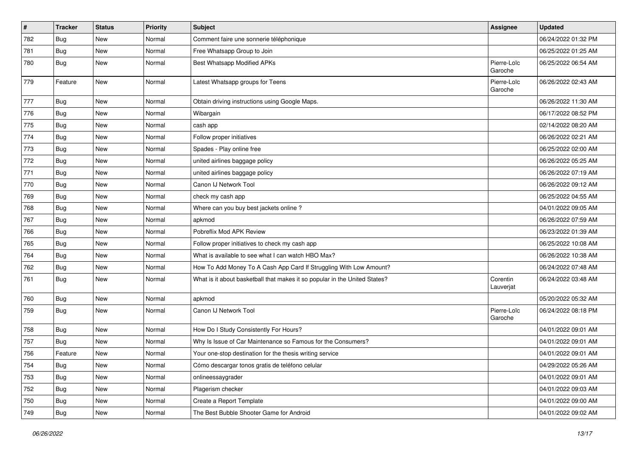| $\vert$ # | <b>Tracker</b> | <b>Status</b> | <b>Priority</b> | <b>Subject</b>                                                             | Assignee               | <b>Updated</b>      |
|-----------|----------------|---------------|-----------------|----------------------------------------------------------------------------|------------------------|---------------------|
| 782       | <b>Bug</b>     | <b>New</b>    | Normal          | Comment faire une sonnerie téléphonique                                    |                        | 06/24/2022 01:32 PM |
| 781       | Bug            | <b>New</b>    | Normal          | Free Whatsapp Group to Join                                                |                        | 06/25/2022 01:25 AM |
| 780       | Bug            | <b>New</b>    | Normal          | Best Whatsapp Modified APKs                                                | Pierre-Loïc<br>Garoche | 06/25/2022 06:54 AM |
| 779       | Feature        | New           | Normal          | Latest Whatsapp groups for Teens                                           | Pierre-Loïc<br>Garoche | 06/26/2022 02:43 AM |
| 777       | Bug            | <b>New</b>    | Normal          | Obtain driving instructions using Google Maps.                             |                        | 06/26/2022 11:30 AM |
| 776       | Bug            | <b>New</b>    | Normal          | Wibargain                                                                  |                        | 06/17/2022 08:52 PM |
| 775       | <b>Bug</b>     | <b>New</b>    | Normal          | cash app                                                                   |                        | 02/14/2022 08:20 AM |
| 774       | Bug            | <b>New</b>    | Normal          | Follow proper initiatives                                                  |                        | 06/26/2022 02:21 AM |
| 773       | Bug            | <b>New</b>    | Normal          | Spades - Play online free                                                  |                        | 06/25/2022 02:00 AM |
| 772       | Bug            | <b>New</b>    | Normal          | united airlines baggage policy                                             |                        | 06/26/2022 05:25 AM |
| 771       | Bug            | <b>New</b>    | Normal          | united airlines baggage policy                                             |                        | 06/26/2022 07:19 AM |
| 770       | Bug            | <b>New</b>    | Normal          | Canon IJ Network Tool                                                      |                        | 06/26/2022 09:12 AM |
| 769       | Bug            | <b>New</b>    | Normal          | check my cash app                                                          |                        | 06/25/2022 04:55 AM |
| 768       | Bug            | <b>New</b>    | Normal          | Where can you buy best jackets online?                                     |                        | 04/01/2022 09:05 AM |
| 767       | Bug            | <b>New</b>    | Normal          | apkmod                                                                     |                        | 06/26/2022 07:59 AM |
| 766       | Bug            | <b>New</b>    | Normal          | Pobreflix Mod APK Review                                                   |                        | 06/23/2022 01:39 AM |
| 765       | Bug            | <b>New</b>    | Normal          | Follow proper initiatives to check my cash app                             |                        | 06/25/2022 10:08 AM |
| 764       | Bug            | <b>New</b>    | Normal          | What is available to see what I can watch HBO Max?                         |                        | 06/26/2022 10:38 AM |
| 762       | Bug            | <b>New</b>    | Normal          | How To Add Money To A Cash App Card If Struggling With Low Amount?         |                        | 06/24/2022 07:48 AM |
| 761       | <b>Bug</b>     | <b>New</b>    | Normal          | What is it about basketball that makes it so popular in the United States? | Corentin<br>Lauverjat  | 06/24/2022 03:48 AM |
| 760       | Bug            | <b>New</b>    | Normal          | apkmod                                                                     |                        | 05/20/2022 05:32 AM |
| 759       | <b>Bug</b>     | <b>New</b>    | Normal          | Canon IJ Network Tool                                                      | Pierre-Loïc<br>Garoche | 06/24/2022 08:18 PM |
| 758       | Bug            | <b>New</b>    | Normal          | How Do I Study Consistently For Hours?                                     |                        | 04/01/2022 09:01 AM |
| 757       | Bug            | <b>New</b>    | Normal          | Why Is Issue of Car Maintenance so Famous for the Consumers?               |                        | 04/01/2022 09:01 AM |
| 756       | Feature        | <b>New</b>    | Normal          | Your one-stop destination for the thesis writing service                   |                        | 04/01/2022 09:01 AM |
| 754       | <b>Bug</b>     | New           | Normal          | Cómo descargar tonos gratis de teléfono celular                            |                        | 04/29/2022 05:26 AM |
| 753       | Bug            | New           | Normal          | onlineessaygrader                                                          |                        | 04/01/2022 09:01 AM |
| 752       | <b>Bug</b>     | New           | Normal          | Plagerism checker                                                          |                        | 04/01/2022 09:03 AM |
| 750       | Bug            | New           | Normal          | Create a Report Template                                                   |                        | 04/01/2022 09:00 AM |
| 749       | <b>Bug</b>     | New           | Normal          | The Best Bubble Shooter Game for Android                                   |                        | 04/01/2022 09:02 AM |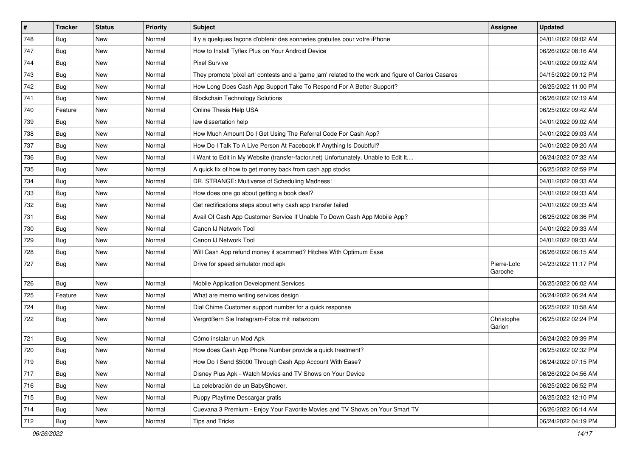| $\vert$ # | <b>Tracker</b> | <b>Status</b> | <b>Priority</b> | <b>Subject</b>                                                                                      | Assignee               | <b>Updated</b>      |
|-----------|----------------|---------------|-----------------|-----------------------------------------------------------------------------------------------------|------------------------|---------------------|
| 748       | Bug            | New           | Normal          | Il y a quelques façons d'obtenir des sonneries gratuites pour votre iPhone                          |                        | 04/01/2022 09:02 AM |
| 747       | Bug            | <b>New</b>    | Normal          | How to Install Tyflex Plus on Your Android Device                                                   |                        | 06/26/2022 08:16 AM |
| 744       | Bug            | New           | Normal          | <b>Pixel Survive</b>                                                                                |                        | 04/01/2022 09:02 AM |
| 743       | <b>Bug</b>     | <b>New</b>    | Normal          | They promote 'pixel art' contests and a 'game jam' related to the work and figure of Carlos Casares |                        | 04/15/2022 09:12 PM |
| 742       | Bug            | <b>New</b>    | Normal          | How Long Does Cash App Support Take To Respond For A Better Support?                                |                        | 06/25/2022 11:00 PM |
| 741       | Bug            | New           | Normal          | <b>Blockchain Technology Solutions</b>                                                              |                        | 06/26/2022 02:19 AM |
| 740       | Feature        | New           | Normal          | Online Thesis Help USA                                                                              |                        | 06/25/2022 09:42 AM |
| 739       | Bug            | New           | Normal          | law dissertation help                                                                               |                        | 04/01/2022 09:02 AM |
| 738       | Bug            | <b>New</b>    | Normal          | How Much Amount Do I Get Using The Referral Code For Cash App?                                      |                        | 04/01/2022 09:03 AM |
| 737       | Bug            | <b>New</b>    | Normal          | How Do I Talk To A Live Person At Facebook If Anything Is Doubtful?                                 |                        | 04/01/2022 09:20 AM |
| 736       | Bug            | New           | Normal          | I Want to Edit in My Website (transfer-factor.net) Unfortunately, Unable to Edit It                 |                        | 06/24/2022 07:32 AM |
| 735       | <b>Bug</b>     | New           | Normal          | A quick fix of how to get money back from cash app stocks                                           |                        | 06/25/2022 02:59 PM |
| 734       | Bug            | <b>New</b>    | Normal          | DR. STRANGE: Multiverse of Scheduling Madness!                                                      |                        | 04/01/2022 09:33 AM |
| 733       | Bug            | New           | Normal          | How does one go about getting a book deal?                                                          |                        | 04/01/2022 09:33 AM |
| 732       | Bug            | <b>New</b>    | Normal          | Get rectifications steps about why cash app transfer failed                                         |                        | 04/01/2022 09:33 AM |
| 731       | Bug            | New           | Normal          | Avail Of Cash App Customer Service If Unable To Down Cash App Mobile App?                           |                        | 06/25/2022 08:36 PM |
| 730       | <b>Bug</b>     | <b>New</b>    | Normal          | Canon IJ Network Tool                                                                               |                        | 04/01/2022 09:33 AM |
| 729       | Bug            | <b>New</b>    | Normal          | Canon IJ Network Tool                                                                               |                        | 04/01/2022 09:33 AM |
| 728       | <b>Bug</b>     | New           | Normal          | Will Cash App refund money if scammed? Hitches With Optimum Ease                                    |                        | 06/26/2022 06:15 AM |
| 727       | <b>Bug</b>     | New           | Normal          | Drive for speed simulator mod apk                                                                   | Pierre-Loïc<br>Garoche | 04/23/2022 11:17 PM |
| 726       | Bug            | <b>New</b>    | Normal          | Mobile Application Development Services                                                             |                        | 06/25/2022 06:02 AM |
| 725       | Feature        | <b>New</b>    | Normal          | What are memo writing services design                                                               |                        | 06/24/2022 06:24 AM |
| 724       | Bug            | <b>New</b>    | Normal          | Dial Chime Customer support number for a quick response                                             |                        | 06/25/2022 10:58 AM |
| 722       | <b>Bug</b>     | New           | Normal          | Vergrößern Sie Instagram-Fotos mit instazoom                                                        | Christophe<br>Garion   | 06/25/2022 02:24 PM |
| 721       | <b>Bug</b>     | <b>New</b>    | Normal          | Cómo instalar un Mod Apk                                                                            |                        | 06/24/2022 09:39 PM |
| 720       | <b>Bug</b>     | <b>New</b>    | Normal          | How does Cash App Phone Number provide a quick treatment?                                           |                        | 06/25/2022 02:32 PM |
| 719       | Bug            | New           | Normal          | How Do I Send \$5000 Through Cash App Account With Ease?                                            |                        | 06/24/2022 07:15 PM |
| 717       | Bug            | New           | Normal          | Disney Plus Apk - Watch Movies and TV Shows on Your Device                                          |                        | 06/26/2022 04:56 AM |
| 716       | Bug            | <b>New</b>    | Normal          | La celebración de un BabyShower.                                                                    |                        | 06/25/2022 06:52 PM |
| 715       | <b>Bug</b>     | New           | Normal          | Puppy Playtime Descargar gratis                                                                     |                        | 06/25/2022 12:10 PM |
| 714       | Bug            | New           | Normal          | Cuevana 3 Premium - Enjoy Your Favorite Movies and TV Shows on Your Smart TV                        |                        | 06/26/2022 06:14 AM |
| 712       | <b>Bug</b>     | New           | Normal          | Tips and Tricks                                                                                     |                        | 06/24/2022 04:19 PM |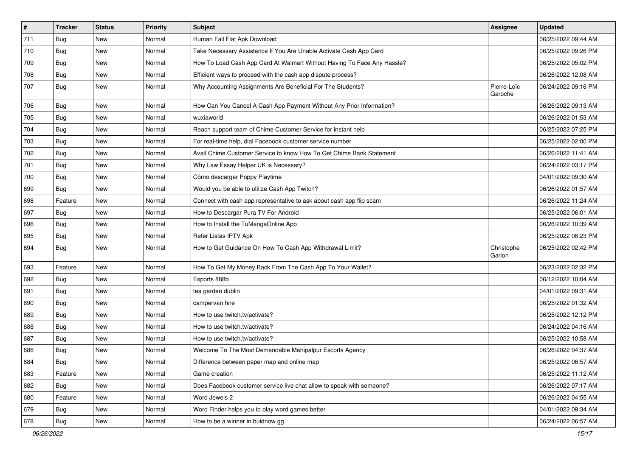| $\sharp$ | <b>Tracker</b> | <b>Status</b> | <b>Priority</b> | <b>Subject</b>                                                          | Assignee               | <b>Updated</b>      |
|----------|----------------|---------------|-----------------|-------------------------------------------------------------------------|------------------------|---------------------|
| 711      | Bug            | New           | Normal          | Human Fall Flat Apk Download                                            |                        | 06/25/2022 09:44 AM |
| 710      | Bug            | <b>New</b>    | Normal          | Take Necessary Assistance If You Are Unable Activate Cash App Card      |                        | 06/25/2022 09:26 PM |
| 709      | Bug            | New           | Normal          | How To Load Cash App Card At Walmart Without Having To Face Any Hassle? |                        | 06/25/2022 05:02 PM |
| 708      | Bug            | <b>New</b>    | Normal          | Efficient ways to proceed with the cash app dispute process?            |                        | 06/26/2022 12:08 AM |
| 707      | Bug            | <b>New</b>    | Normal          | Why Accounting Assignments Are Beneficial For The Students?             | Pierre-Loïc<br>Garoche | 06/24/2022 09:16 PM |
| 706      | Bug            | <b>New</b>    | Normal          | How Can You Cancel A Cash App Payment Without Any Prior Information?    |                        | 06/26/2022 09:13 AM |
| 705      | Bug            | <b>New</b>    | Normal          | wuxiaworld                                                              |                        | 06/26/2022 01:53 AM |
| 704      | Bug            | <b>New</b>    | Normal          | Reach support team of Chime Customer Service for instant help           |                        | 06/25/2022 07:25 PM |
| 703      | Bug            | <b>New</b>    | Normal          | For real-time help, dial Facebook customer service number               |                        | 06/25/2022 02:00 PM |
| 702      | Bug            | New           | Normal          | Avail Chime Customer Service to know How To Get Chime Bank Statement    |                        | 06/26/2022 11:41 AM |
| 701      | Bug            | <b>New</b>    | Normal          | Why Law Essay Helper UK is Necessary?                                   |                        | 06/24/2022 03:17 PM |
| 700      | Bug            | <b>New</b>    | Normal          | Cómo descargar Poppy Playtime                                           |                        | 04/01/2022 09:30 AM |
| 699      | Bug            | New           | Normal          | Would you be able to utilize Cash App Twitch?                           |                        | 06/26/2022 01:57 AM |
| 698      | Feature        | <b>New</b>    | Normal          | Connect with cash app representative to ask about cash app flip scam    |                        | 06/26/2022 11:24 AM |
| 697      | Bug            | New           | Normal          | How to Descargar Pura TV For Android                                    |                        | 06/25/2022 06:01 AM |
| 696      | Bug            | <b>New</b>    | Normal          | How to Install the TuMangaOnline App                                    |                        | 06/26/2022 10:39 AM |
| 695      | Bug            | <b>New</b>    | Normal          | Refer Listas IPTV Apk                                                   |                        | 06/25/2022 08:23 PM |
| 694      | Bug            | New           | Normal          | How to Get Guidance On How To Cash App Withdrawal Limit?                | Christophe<br>Garion   | 06/25/2022 02:42 PM |
| 693      | Feature        | <b>New</b>    | Normal          | How To Get My Money Back From The Cash App To Your Wallet?              |                        | 06/23/2022 02:32 PM |
| 692      | Bug            | New           | Normal          | Esports 888b                                                            |                        | 06/12/2022 10:04 AM |
| 691      | Bug            | <b>New</b>    | Normal          | tea garden dublin                                                       |                        | 04/01/2022 09:31 AM |
| 690      | Bug            | New           | Normal          | campervan hire                                                          |                        | 06/25/2022 01:32 AM |
| 689      | Bug            | <b>New</b>    | Normal          | How to use twitch.tv/activate?                                          |                        | 06/25/2022 12:12 PM |
| 688      | Bug            | <b>New</b>    | Normal          | How to use twitch.tv/activate?                                          |                        | 06/24/2022 04:16 AM |
| 687      | Bug            | New           | Normal          | How to use twitch.tv/activate?                                          |                        | 06/25/2022 10:58 AM |
| 686      | Bug            | <b>New</b>    | Normal          | Welcome To The Most Demandable Mahipalpur Escorts Agency                |                        | 06/26/2022 04:37 AM |
| 684      | Bug            | New           | Normal          | Difference between paper map and online map                             |                        | 06/25/2022 06:57 AM |
| 683      | Feature        | New           | Normal          | Game creation                                                           |                        | 06/25/2022 11:12 AM |
| 682      | Bug            | New           | Normal          | Does Facebook customer service live chat allow to speak with someone?   |                        | 06/26/2022 07:17 AM |
| 680      | Feature        | New           | Normal          | Word Jewels 2                                                           |                        | 06/26/2022 04:55 AM |
| 679      | Bug            | New           | Normal          | Word Finder helps you to play word games better                         |                        | 04/01/2022 09:34 AM |
| 678      | <b>Bug</b>     | New           | Normal          | How to be a winner in buidnow gg                                        |                        | 06/24/2022 06:57 AM |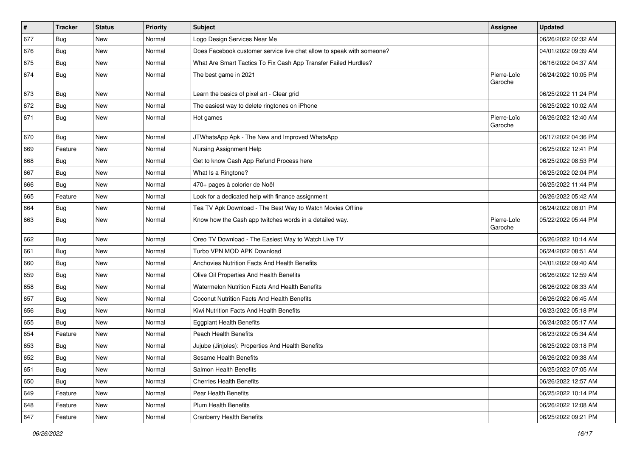| $\vert$ # | <b>Tracker</b> | <b>Status</b> | <b>Priority</b> | <b>Subject</b>                                                        | Assignee               | <b>Updated</b>      |
|-----------|----------------|---------------|-----------------|-----------------------------------------------------------------------|------------------------|---------------------|
| 677       | Bug            | New           | Normal          | Logo Design Services Near Me                                          |                        | 06/26/2022 02:32 AM |
| 676       | Bug            | <b>New</b>    | Normal          | Does Facebook customer service live chat allow to speak with someone? |                        | 04/01/2022 09:39 AM |
| 675       | Bug            | New           | Normal          | What Are Smart Tactics To Fix Cash App Transfer Failed Hurdles?       |                        | 06/16/2022 04:37 AM |
| 674       | Bug            | <b>New</b>    | Normal          | The best game in 2021                                                 | Pierre-Loïc<br>Garoche | 06/24/2022 10:05 PM |
| 673       | Bug            | <b>New</b>    | Normal          | Learn the basics of pixel art - Clear grid                            |                        | 06/25/2022 11:24 PM |
| 672       | Bug            | <b>New</b>    | Normal          | The easiest way to delete ringtones on iPhone                         |                        | 06/25/2022 10:02 AM |
| 671       | Bug            | <b>New</b>    | Normal          | Hot games                                                             | Pierre-Loïc<br>Garoche | 06/26/2022 12:40 AM |
| 670       | Bug            | <b>New</b>    | Normal          | JTWhatsApp Apk - The New and Improved WhatsApp                        |                        | 06/17/2022 04:36 PM |
| 669       | Feature        | New           | Normal          | Nursing Assignment Help                                               |                        | 06/25/2022 12:41 PM |
| 668       | Bug            | <b>New</b>    | Normal          | Get to know Cash App Refund Process here                              |                        | 06/25/2022 08:53 PM |
| 667       | Bug            | <b>New</b>    | Normal          | What Is a Ringtone?                                                   |                        | 06/25/2022 02:04 PM |
| 666       | Bug            | <b>New</b>    | Normal          | 470+ pages à colorier de Noël                                         |                        | 06/25/2022 11:44 PM |
| 665       | Feature        | <b>New</b>    | Normal          | Look for a dedicated help with finance assignment                     |                        | 06/26/2022 05:42 AM |
| 664       | Bug            | <b>New</b>    | Normal          | Tea TV Apk Download - The Best Way to Watch Movies Offline            |                        | 06/24/2022 08:01 PM |
| 663       | Bug            | <b>New</b>    | Normal          | Know how the Cash app twitches words in a detailed way.               | Pierre-Loïc<br>Garoche | 05/22/2022 05:44 PM |
| 662       | Bug            | New           | Normal          | Oreo TV Download - The Easiest Way to Watch Live TV                   |                        | 06/26/2022 10:14 AM |
| 661       | <b>Bug</b>     | <b>New</b>    | Normal          | Turbo VPN MOD APK Download                                            |                        | 06/24/2022 08:51 AM |
| 660       | Bug            | <b>New</b>    | Normal          | Anchovies Nutrition Facts And Health Benefits                         |                        | 04/01/2022 09:40 AM |
| 659       | Bug            | <b>New</b>    | Normal          | Olive Oil Properties And Health Benefits                              |                        | 06/26/2022 12:59 AM |
| 658       | Bug            | <b>New</b>    | Normal          | Watermelon Nutrition Facts And Health Benefits                        |                        | 06/26/2022 08:33 AM |
| 657       | Bug            | New           | Normal          | Coconut Nutrition Facts And Health Benefits                           |                        | 06/26/2022 06:45 AM |
| 656       | Bug            | <b>New</b>    | Normal          | Kiwi Nutrition Facts And Health Benefits                              |                        | 06/23/2022 05:18 PM |
| 655       | Bug            | <b>New</b>    | Normal          | <b>Eggplant Health Benefits</b>                                       |                        | 06/24/2022 05:17 AM |
| 654       | Feature        | New           | Normal          | <b>Peach Health Benefits</b>                                          |                        | 06/23/2022 05:34 AM |
| 653       | Bug            | <b>New</b>    | Normal          | Jujube (Jinjoles): Properties And Health Benefits                     |                        | 06/25/2022 03:18 PM |
| 652       | Bug            | New           | Normal          | Sesame Health Benefits                                                |                        | 06/26/2022 09:38 AM |
| 651       | Bug            | New           | Normal          | Salmon Health Benefits                                                |                        | 06/25/2022 07:05 AM |
| 650       | Bug            | New           | Normal          | <b>Cherries Health Benefits</b>                                       |                        | 06/26/2022 12:57 AM |
| 649       | Feature        | New           | Normal          | Pear Health Benefits                                                  |                        | 06/25/2022 10:14 PM |
| 648       | Feature        | New           | Normal          | <b>Plum Health Benefits</b>                                           |                        | 06/26/2022 12:08 AM |
| 647       | Feature        | New           | Normal          | <b>Cranberry Health Benefits</b>                                      |                        | 06/25/2022 09:21 PM |